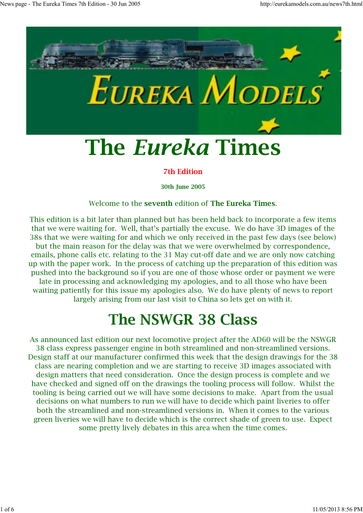

#### **7th Edition**

**30th June 2005**

#### Welcome to the **seventh** edition of **The Eureka Times**.

This edition is a bit later than planned but has been held back to incorporate a few items that we were waiting for. Well, that's partially the excuse. We do have 3D images of the 38s that we were waiting for and which we only received in the past few days (see below) but the main reason for the delay was that we were overwhelmed by correspondence, emails, phone calls etc. relating to the 31 May cut-off date and we are only now catching up with the paper work. In the process of catching up the preparation of this edition was pushed into the background so if you are one of those whose order or payment we were late in processing and acknowledging my apologies, and to all those who have been waiting patiently for this issue my apologies also. We do have plenty of news to report largely arising from our last visit to China so lets get on with it.

# **The NSWGR 38 Class**

As announced last edition our next locomotive project after the AD60 will be the NSWGR 38 class express passenger engine in both streamlined and non-streamlined versions. Design staff at our manufacturer confirmed this week that the design drawings for the 38 class are nearing completion and we are starting to receive 3D images associated with design matters that need consideration. Once the design process is complete and we have checked and signed off on the drawings the tooling process will follow. Whilst the tooling is being carried out we will have some decisions to make. Apart from the usual decisions on what numbers to run we will have to decide which paint liveries to offer both the streamlined and non-streamlined versions in. When it comes to the various green liveries we will have to decide which is the correct shade of green to use. Expect some pretty lively debates in this area when the time comes.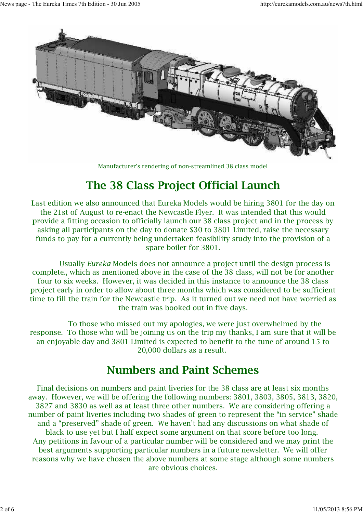

Manufacturer's rendering of non-streamlined 38 class model

#### **The 38 Class Project Official Launch**

Last edition we also announced that Eureka Models would be hiring 3801 for the day on the 21st of August to re-enact the Newcastle Flyer. It was intended that this would provide a fitting occasion to officially launch our 38 class project and in the process by asking all participants on the day to donate \$30 to 3801 Limited, raise the necessary funds to pay for a currently being undertaken feasibility study into the provision of a spare boiler for 3801.

 Usually *Eureka* Models does not announce a project until the design process is complete., which as mentioned above in the case of the 38 class, will not be for another four to six weeks. However, it was decided in this instance to announce the 38 class project early in order to allow about three months which was considered to be sufficient time to fill the train for the Newcastle trip. As it turned out we need not have worried as the train was booked out in five days.

 To those who missed out my apologies, we were just overwhelmed by the response. To those who will be joining us on the trip my thanks, I am sure that it will be an enjoyable day and 3801 Limited is expected to benefit to the tune of around 15 to 20,000 dollars as a result.

#### **Numbers and Paint Schemes**

Final decisions on numbers and paint liveries for the 38 class are at least six months away. However, we will be offering the following numbers: 3801, 3803, 3805, 3813, 3820, 3827 and 3830 as well as at least three other numbers. We are considering offering a number of paint liveries including two shades of green to represent the "in service" shade and a "preserved" shade of green. We haven't had any discussions on what shade of black to use yet but I half expect some argument on that score before too long. Any petitions in favour of a particular number will be considered and we may print the best arguments supporting particular numbers in a future newsletter. We will offer reasons why we have chosen the above numbers at some stage although some numbers are obvious choices.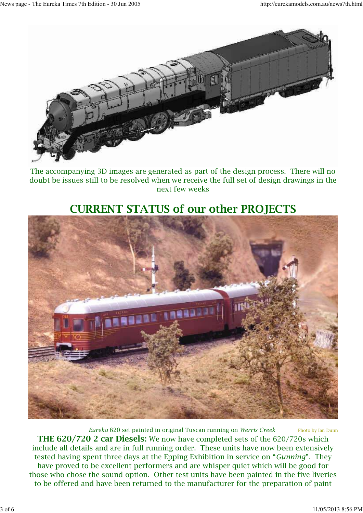

The accompanying 3D images are generated as part of the design process. There will no doubt be issues still to be resolved when we receive the full set of design drawings in the next few weeks

### **CURRENT STATUS of our other PROJECTS**



*Eureka* 620 set painted in original Tuscan running on *Werris Creek* Photo by Ian Dunn **THE 620/720 2 car Diesels:** We now have completed sets of the 620/720s which include all details and are in full running order. These units have now been extensively tested having spent three days at the Epping Exhibition in service on "*Gunning*". They have proved to be excellent performers and are whisper quiet which will be good for those who chose the sound option. Other test units have been painted in the five liveries to be offered and have been returned to the manufacturer for the preparation of paint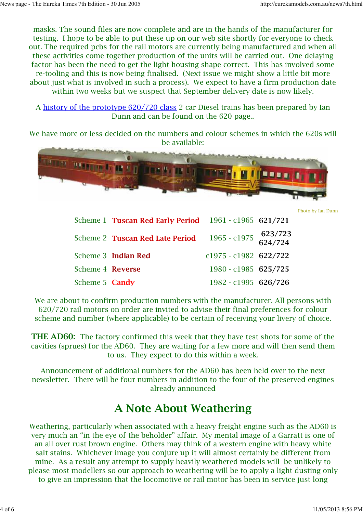masks. The sound files are now complete and are in the hands of the manufacturer for testing. I hope to be able to put these up on our web site shortly for everyone to check out. The required pcbs for the rail motors are currently being manufactured and when all these activities come together production of the units will be carried out. One delaying factor has been the need to get the light housing shape correct. This has involved some re-tooling and this is now being finalised. (Next issue we might show a little bit more about just what is involved in such a process). We expect to have a firm production date within two weeks but we suspect that September delivery date is now likely.

A history of the prototype 620/720 class 2 car Diesel trains has been prepared by Ian Dunn and can be found on the 620 page..

We have more or less decided on the numbers and colour schemes in which the 620s will be available:



Photo by Ian Dunn

|                  | Scheme 1 Tuscan Red Early Period 1961 - c1965 621/721 |                                 |  |
|------------------|-------------------------------------------------------|---------------------------------|--|
|                  | Scheme 2 Tuscan Red Late Period                       | 1965 - c1975 623/723<br>624/724 |  |
|                  | Scheme 3 Indian Red                                   | $c1975 - c1982$ 622/722         |  |
| Scheme 4 Reverse |                                                       | $1980 - c1985$ 625/725          |  |
| Scheme 5 Candy   |                                                       | 1982 - c1995 626/726            |  |

We are about to confirm production numbers with the manufacturer. All persons with 620/720 rail motors on order are invited to advise their final preferences for colour scheme and number (where applicable) to be certain of receiving your livery of choice.

**THE AD60:** The factory confirmed this week that they have test shots for some of the cavities (sprues) for the AD60. They are waiting for a few more and will then send them to us. They expect to do this within a week.

Announcement of additional numbers for the AD60 has been held over to the next newsletter. There will be four numbers in addition to the four of the preserved engines already announced

#### **A Note About Weathering**

Weathering, particularly when associated with a heavy freight engine such as the AD60 is very much an "in the eye of the beholder" affair. My mental image of a Garratt is one of an all over rust brown engine. Others may think of a western engine with heavy white salt stains. Whichever image you conjure up it will almost certainly be different from mine. As a result any attempt to supply heavily weathered models will be unlikely to please most modellers so our approach to weathering will be to apply a light dusting only to give an impression that the locomotive or rail motor has been in service just long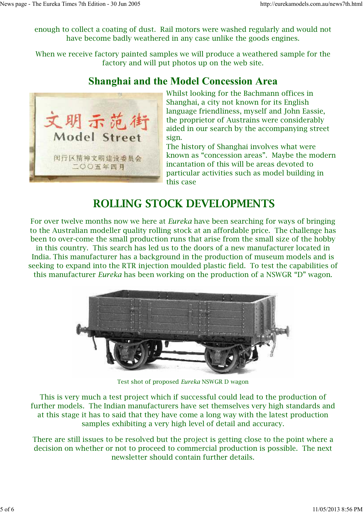enough to collect a coating of dust. Rail motors were washed regularly and would not have become badly weathered in any case unlike the goods engines.

When we receive factory painted samples we will produce a weathered sample for the factory and will put photos up on the web site.

#### **Shanghai and the Model Concession Area**



Whilst looking for the Bachmann offices in Shanghai, a city not known for its English language friendliness, myself and John Eassie, the proprietor of Austrains were considerably aided in our search by the accompanying street sign.

The history of Shanghai involves what were known as "concession areas". Maybe the modern incantation of this will be areas devoted to particular activities such as model building in this case

#### **ROLLING STOCK DEVELOPMENTS**

For over twelve months now we here at *Eureka* have been searching for ways of bringing to the Australian modeller quality rolling stock at an affordable price. The challenge has been to over-come the small production runs that arise from the small size of the hobby

in this country. This search has led us to the doors of a new manufacturer located in India. This manufacturer has a background in the production of museum models and is seeking to expand into the RTR injection moulded plastic field. To test the capabilities of this manufacturer *Eureka* has been working on the production of a NSWGR "D" wagon.



Test shot of proposed *Eureka* NSWGR D wagon

This is very much a test project which if successful could lead to the production of further models. The Indian manufacturers have set themselves very high standards and at this stage it has to said that they have come a long way with the latest production samples exhibiting a very high level of detail and accuracy.

There are still issues to be resolved but the project is getting close to the point where a decision on whether or not to proceed to commercial production is possible. The next newsletter should contain further details.